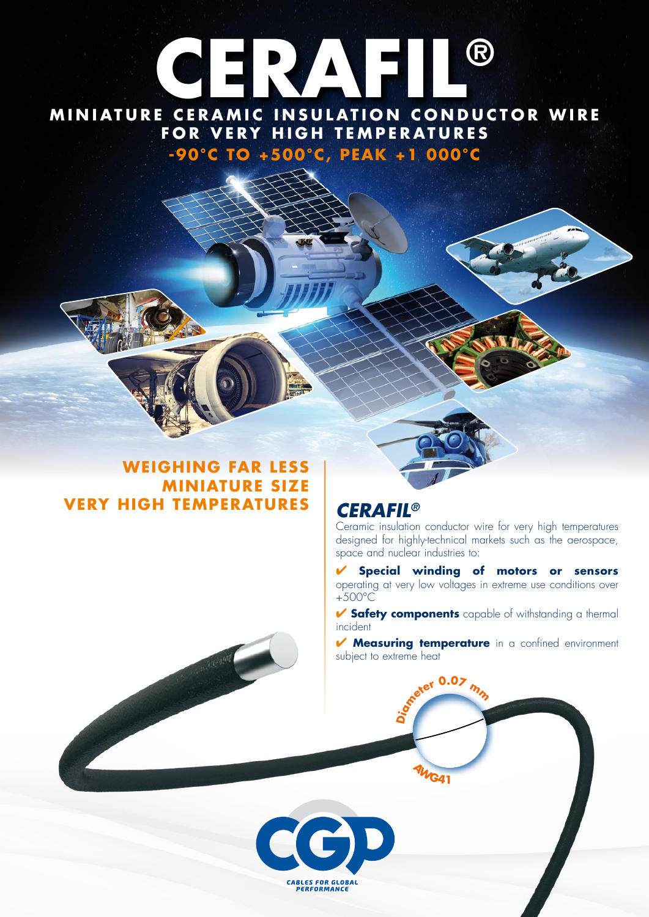## **-90°C TO +500°C, PEAK +1 000°C MINIATURE CERAMIC INSULATION CONDUCTOR WIRE F O R V E R Y H I G H T E M P E R A T U R E S CERAFIL®**

## **WEIGHING FAR LESS MINIATURE SIZE VERY HIGH TEMPERATURES**

## *CERAFIL®*

Ceramic insulation conductor wire for very high temperatures designed for highly-technical markets such as the aerospace, space and nuclear industries to:

✔ **Special winding of motors or sensors** operating at very low voltages in extreme use conditions over  $+500^{\circ}$ C

✔ **Safety components** capable of withstanding a thermal incident

✔ **Measuring temperature** in a confined environment subject to extreme heat

**D<sup>i</sup>amete<sup>r</sup> <sup>0</sup>.0<sup>7</sup> <sup>m</sup><sup>m</sup>**

**<sup>A</sup>WG4<sup>1</sup>**